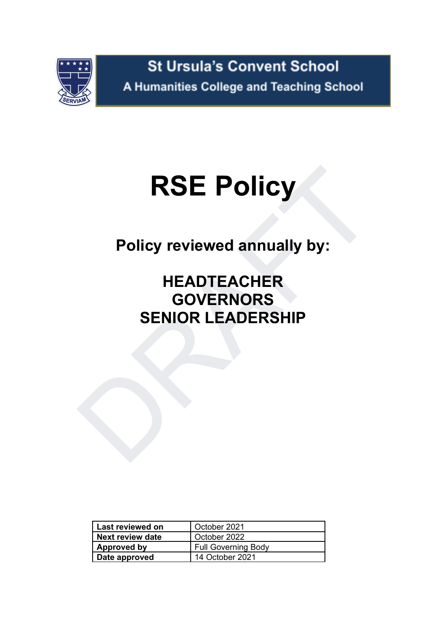

# **RSE Policy**

**Policy reviewed annually by:**

# RSE Policy<br>
Policy reviewed annually by:<br>
HEADTEACHER<br>
GOVERNORS<br>
SENIOR LEADERSHIP **HEADTEACHER GOVERNORS SENIOR LEADERSHIP**

| Last reviewed on     | October 2021               |  |  |  |
|----------------------|----------------------------|--|--|--|
| Next review date     | October 2022               |  |  |  |
| <b>Approved by</b>   | <b>Full Governing Body</b> |  |  |  |
| <b>Date approved</b> | 14 October 2021            |  |  |  |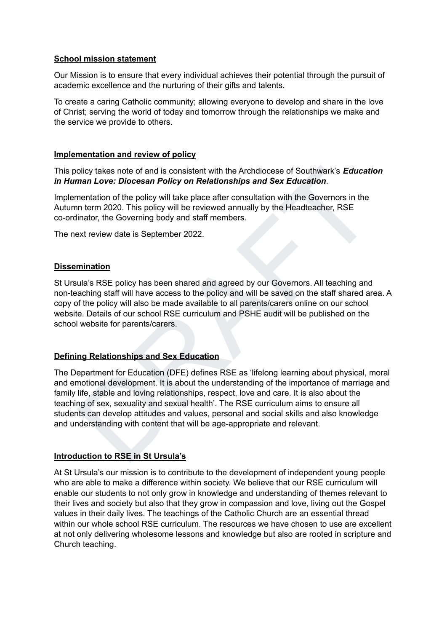### **School mission statement**

Our Mission is to ensure that every individual achieves their potential through the pursuit of academic excellence and the nurturing of their gifts and talents.

To create a caring Catholic community; allowing everyone to develop and share in the love of Christ; serving the world of today and tomorrow through the relationships we make and the service we provide to others.

### **Implementation and review of policy**

This policy takes note of and is consistent with the Archdiocese of Southwark's *Education in Human Love: Diocesan Policy on Relationships and Sex Education*.

Implementation of the policy will take place after consultation with the Governors in the Autumn term 2020. This policy will be reviewed annually by the Headteacher, RSE co-ordinator, the Governing body and staff members.

The next review date is September 2022.

### **Dissemination**

St Ursula's RSE policy has been shared and agreed by our Governors. All teaching and non-teaching staff will have access to the policy and will be saved on the staff shared area. A copy of the policy will also be made available to all parents/carers online on our school website. Details of our school RSE curriculum and PSHE audit will be published on the school website for parents/carers.

### **Defining Relationships and Sex Education**

olicy takes note of and is consistent with the Archdiocese of Southwark's Education<br>man Love: Diocesan Policy on Relationships and Sex Education.<br>The mentation of the policy will take place after consultation with the Gove The Department for Education (DFE) defines RSE as 'lifelong learning about physical, moral and emotional development. It is about the understanding of the importance of marriage and family life, stable and loving relationships, respect, love and care. It is also about the teaching of sex, sexuality and sexual health'. The RSE curriculum aims to ensure all students can develop attitudes and values, personal and social skills and also knowledge and understanding with content that will be age-appropriate and relevant.

### **Introduction to RSE in St Ursula's**

At St Ursula's our mission is to contribute to the development of independent young people who are able to make a difference within society. We believe that our RSE curriculum will enable our students to not only grow in knowledge and understanding of themes relevant to their lives and society but also that they grow in compassion and love, living out the Gospel values in their daily lives. The teachings of the Catholic Church are an essential thread within our whole school RSE curriculum. The resources we have chosen to use are excellent at not only delivering wholesome lessons and knowledge but also are rooted in scripture and Church teaching.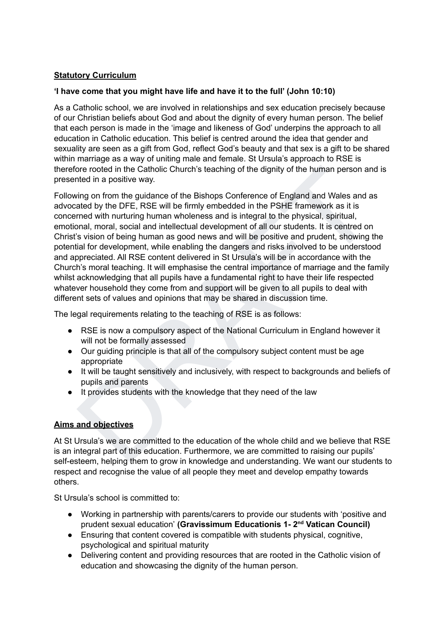### **Statutory Curriculum**

### **'I have come that you might have life and have it to the full' (John 10:10)**

As a Catholic school, we are involved in relationships and sex education precisely because of our Christian beliefs about God and about the dignity of every human person. The belief that each person is made in the 'image and likeness of God' underpins the approach to all education in Catholic education. This belief is centred around the idea that gender and sexuality are seen as a gift from God, reflect God's beauty and that sex is a gift to be shared within marriage as a way of uniting male and female. St Ursula's approach to RSE is therefore rooted in the Catholic Church's teaching of the dignity of the human person and is presented in a positive way.

ore rooted in the Catholic Church's teaching of the dignity of the human person and is<br>the in a positive way.<br>
wing on from the guidance of the Bishops Conference of England and Wales and as<br>
and any the DFE, RSE will be f Following on from the guidance of the Bishops Conference of England and Wales and as advocated by the DFE, RSE will be firmly embedded in the PSHE framework as it is concerned with nurturing human wholeness and is integral to the physical, spiritual, emotional, moral, social and intellectual development of all our students. It is centred on Christ's vision of being human as good news and will be positive and prudent, showing the potential for development, while enabling the dangers and risks involved to be understood and appreciated. All RSE content delivered in St Ursula's will be in accordance with the Church's moral teaching. It will emphasise the central importance of marriage and the family whilst acknowledging that all pupils have a fundamental right to have their life respected whatever household they come from and support will be given to all pupils to deal with different sets of values and opinions that may be shared in discussion time.

The legal requirements relating to the teaching of RSE is as follows:

- RSE is now a compulsory aspect of the National Curriculum in England however it will not be formally assessed
- Our guiding principle is that all of the compulsory subject content must be age appropriate
- It will be taught sensitively and inclusively, with respect to backgrounds and beliefs of pupils and parents
- It provides students with the knowledge that they need of the law

# **Aims and objectives**

At St Ursula's we are committed to the education of the whole child and we believe that RSE is an integral part of this education. Furthermore, we are committed to raising our pupils' self-esteem, helping them to grow in knowledge and understanding. We want our students to respect and recognise the value of all people they meet and develop empathy towards others.

St Ursula's school is committed to:

- **●** Working in partnership with parents/carers to provide our students with 'positive and prudent sexual education' **(Gravissimum Educationis 1- 2 nd Vatican Council)**
- Ensuring that content covered is compatible with students physical, cognitive, psychological and spiritual maturity
- Delivering content and providing resources that are rooted in the Catholic vision of education and showcasing the dignity of the human person.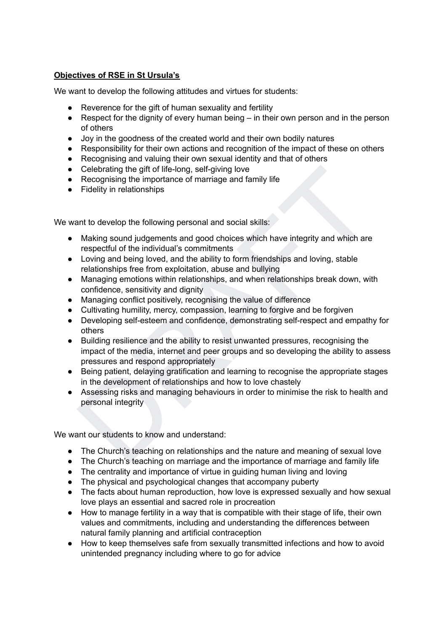## **Objectives of RSE in St Ursula's**

We want to develop the following attitudes and virtues for students:

- Reverence for the gift of human sexuality and fertility
- Respect for the dignity of every human being in their own person and in the person of others
- Joy in the goodness of the created world and their own bodily natures
- Responsibility for their own actions and recognition of the impact of these on others
- Recognising and valuing their own sexual identity and that of others
- Celebrating the gift of life-long, self-giving love
- Recognising the importance of marriage and family life
- Fidelity in relationships

We want to develop the following personal and social skills:

- Making sound judgements and good choices which have integrity and which are respectful of the individual's commitments
- Loving and being loved, and the ability to form friendships and loving, stable relationships free from exploitation, abuse and bullying
- Managing emotions within relationships, and when relationships break down, with confidence, sensitivity and dignity
- Managing conflict positively, recognising the value of difference
- Cultivating humility, mercy, compassion, learning to forgive and be forgiven
- Developing self-esteem and confidence, demonstrating self-respect and empathy for others
- Celebrating the gift of life-long, self-giving love<br>
Recognising the importance of marriage and family life<br>
Fidelity in relationships<br>
Fidelity in relationships<br>
ant to develop the following personal and social skills:<br>
M ● Building resilience and the ability to resist unwanted pressures, recognising the impact of the media, internet and peer groups and so developing the ability to assess pressures and respond appropriately
- Being patient, delaying gratification and learning to recognise the appropriate stages in the development of relationships and how to love chastely
- Assessing risks and managing behaviours in order to minimise the risk to health and personal integrity

We want our students to know and understand:

- The Church's teaching on relationships and the nature and meaning of sexual love
- The Church's teaching on marriage and the importance of marriage and family life
- The centrality and importance of virtue in guiding human living and loving
- The physical and psychological changes that accompany puberty
- The facts about human reproduction, how love is expressed sexually and how sexual love plays an essential and sacred role in procreation
- How to manage fertility in a way that is compatible with their stage of life, their own values and commitments, including and understanding the differences between natural family planning and artificial contraception
- How to keep themselves safe from sexually transmitted infections and how to avoid unintended pregnancy including where to go for advice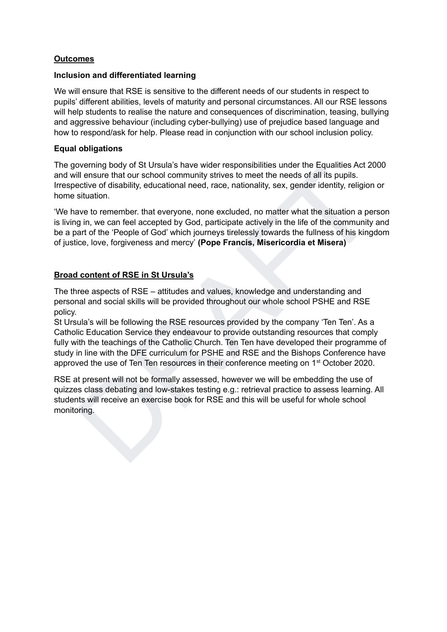### **Outcomes**

### **Inclusion and differentiated learning**

We will ensure that RSE is sensitive to the different needs of our students in respect to pupils' different abilities, levels of maturity and personal circumstances. All our RSE lessons will help students to realise the nature and consequences of discrimination, teasing, bullying and aggressive behaviour (including cyber-bullying) use of prejudice based language and how to respond/ask for help. Please read in conjunction with our school inclusion policy.

### **Equal obligations**

The governing body of St Ursula's have wider responsibilities under the Equalities Act 2000 and will ensure that our school community strives to meet the needs of all its pupils. Irrespective of disability, educational need, race, nationality, sex, gender identity, religion or home situation.

'We have to remember. that everyone, none excluded, no matter what the situation a person is living in, we can feel accepted by God, participate actively in the life of the community and be a part of the 'People of God' which journeys tirelessly towards the fullness of his kingdom of justice, love, forgiveness and mercy' **(Pope Francis, Misericordia et Misera)**

### **Broad content of RSE in St Ursula's**

The three aspects of RSE – attitudes and values, knowledge and understanding and personal and social skills will be provided throughout our whole school PSHE and RSE policy.

overing booy of so trosuas have worer responsibilities the requirement of the equilibrat section of the syntem and the methanic and the methanic street the control of disability, educational need, race, nationality, sex, g St Ursula's will be following the RSE resources provided by the company 'Ten Ten'. As a Catholic Education Service they endeavour to provide outstanding resources that comply fully with the teachings of the Catholic Church. Ten Ten have developed their programme of study in line with the DFE curriculum for PSHE and RSE and the Bishops Conference have approved the use of Ten Ten resources in their conference meeting on  $1<sup>st</sup>$  October 2020.

RSE at present will not be formally assessed, however we will be embedding the use of quizzes class debating and low-stakes testing e.g.: retrieval practice to assess learning. All students will receive an exercise book for RSE and this will be useful for whole school monitoring.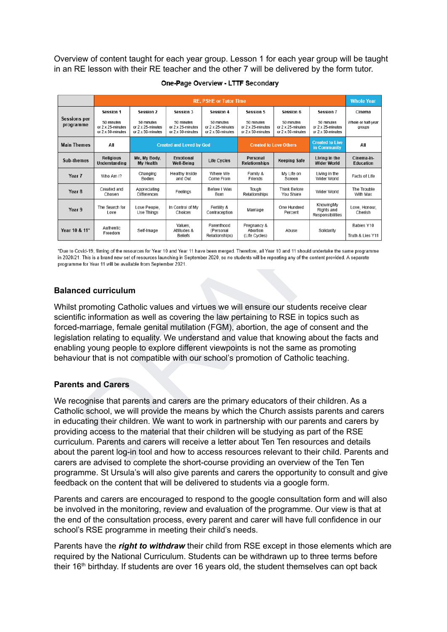Overview of content taught for each year group. Lesson 1 for each year group will be taught in an RE lesson with their RE teacher and the other 7 will be delivered by the form tutor.

|                                                                                                                                                                                                                                                                                                                                                                                                                                                                                                                                                    | <b>RE, PSHE or Tutor Time</b>                        |                                                      |                                                      |                                                      |                                                      |                                                      |                                                      |                                                                                                                                                                                            |  |
|----------------------------------------------------------------------------------------------------------------------------------------------------------------------------------------------------------------------------------------------------------------------------------------------------------------------------------------------------------------------------------------------------------------------------------------------------------------------------------------------------------------------------------------------------|------------------------------------------------------|------------------------------------------------------|------------------------------------------------------|------------------------------------------------------|------------------------------------------------------|------------------------------------------------------|------------------------------------------------------|--------------------------------------------------------------------------------------------------------------------------------------------------------------------------------------------|--|
|                                                                                                                                                                                                                                                                                                                                                                                                                                                                                                                                                    | Session 1                                            | Session 2                                            | Session 3                                            | Session 4                                            | Session 5                                            | Session 6                                            | Session 7                                            | Cinema                                                                                                                                                                                     |  |
| <b>Sessions per</b><br>programme                                                                                                                                                                                                                                                                                                                                                                                                                                                                                                                   | 50 minutes<br>or 2 x 25-minutes<br>or 2 x 50-minutes | 50 minutes<br>or 2 x 25-minutes<br>or 2 x 50-minutes | 50 minutes<br>or 2 x 25-minutes<br>or 2 x 50-minutes | 50 minutes<br>or 2 x 25-minutes<br>or 2 x 50-minutes | 50 minutes<br>or 2 x 25-minutes<br>or 2 x 50-minutes | 50 minutes<br>or 2 x 25-minutes<br>or 2 x 50-minutes | 50 minutes<br>or 2 x 25-minutes<br>or 2 x 50-minutes | Whole or half-year<br>groups                                                                                                                                                               |  |
| <b>Main Themes</b>                                                                                                                                                                                                                                                                                                                                                                                                                                                                                                                                 | All                                                  | <b>Created and Loved by God</b>                      |                                                      |                                                      | <b>Created to Love Others</b>                        |                                                      | <b>Created to Live</b><br>in Community               | All                                                                                                                                                                                        |  |
| Sub-themes                                                                                                                                                                                                                                                                                                                                                                                                                                                                                                                                         | <b>Religious</b><br>Understanding                    | Me, My Body,<br>My Health                            | Emotional<br><b>Well-Being</b>                       | <b>Life Cycles</b>                                   | Personal<br><b>Relationships</b>                     | <b>Keeping Safe</b>                                  | Living in the<br><b>Wider World</b>                  | Cinema-in-<br><b>Education</b>                                                                                                                                                             |  |
| Year 7                                                                                                                                                                                                                                                                                                                                                                                                                                                                                                                                             | Who Am I?                                            | Changing<br>Bodies                                   | <b>Healthy Inside</b><br>and Out                     | Where We<br>Come From                                | Family &<br>Friends                                  | My Life on<br>Screen                                 | Living in the<br>Wider World                         | Facts of Life                                                                                                                                                                              |  |
| Year <sub>8</sub>                                                                                                                                                                                                                                                                                                                                                                                                                                                                                                                                  | Created and<br>Chosen                                | Appreciating<br><b>Differences</b>                   | Feelings                                             | Before I Was<br>Born                                 | Tough<br>Relationships                               | <b>Think Before</b><br>You Share                     | Wider World                                          | The Trouble<br>With Max                                                                                                                                                                    |  |
| Year 9                                                                                                                                                                                                                                                                                                                                                                                                                                                                                                                                             | The Search for<br>Love                               | Love People,<br>Use Things                           | In Control of My<br>Choices                          | Fertility &<br>Contraception                         | Marriage                                             | One Hundred<br>Percent                               | KnowingMy<br>Rights and<br>Responsibilities          | Love, Honour,<br>Cherish                                                                                                                                                                   |  |
| Year 10 & 11*                                                                                                                                                                                                                                                                                                                                                                                                                                                                                                                                      | Authentic<br>Freedom                                 | Self-Image                                           | Values,<br>Attitudes &<br><b>Beliefs</b>             | Parenthood<br>(Personal<br>Relationships)            | Pregnancy &<br>Abortion<br>(Life Cycles)             | Abuse                                                | Solidarity                                           | Babies Y10<br>Truth & Lies Y11                                                                                                                                                             |  |
| Whilst promoting Catholic values and virtues we will ensure our students receive clear<br>scientific information as well as covering the law pertaining to RSE in topics such as<br>orced-marriage, female genital mutilation (FGM), abortion, the age of consent and the<br>egislation relating to equality. We understand and value that knowing about the facts and<br>enabling young people to explore different viewpoints is not the same as promoting<br>behaviour that is not compatible with our school's promotion of Catholic teaching. |                                                      |                                                      |                                                      |                                                      |                                                      |                                                      |                                                      |                                                                                                                                                                                            |  |
| <b>Parents and Carers</b>                                                                                                                                                                                                                                                                                                                                                                                                                                                                                                                          |                                                      |                                                      |                                                      |                                                      |                                                      |                                                      |                                                      |                                                                                                                                                                                            |  |
| We recognise that parents and carers are the primary educators of their children. As a<br>n educating their children. We want to work in partnership with our parents and carers by<br>providing access to the material that their children will be studying as part of the RSE<br>curriculum. Parents and carers will receive a letter about Ten Ten resources and details<br>carers are advised to complete the short-course providing an overview of the Ten Ten                                                                                |                                                      |                                                      |                                                      |                                                      |                                                      |                                                      |                                                      | Catholic school, we will provide the means by which the Church assists parents and carers<br>about the parent log-in tool and how to access resources relevant to their child. Parents and |  |

**One-Page Overview - LTTF Secondary** 

### **Balanced curriculum**

### **Parents and Carers**

We recognise that parents and carers are the primary educators of their children. As a Catholic school, we will provide the means by which the Church assists parents and carers in educating their children. We want to work in partnership with our parents and carers by providing access to the material that their children will be studying as part of the RSE curriculum. Parents and carers will receive a letter about Ten Ten resources and details about the parent log-in tool and how to access resources relevant to their child. Parents and carers are advised to complete the short-course providing an overview of the Ten Ten programme. St Ursula's will also give parents and carers the opportunity to consult and give feedback on the content that will be delivered to students via a google form.

Parents and carers are encouraged to respond to the google consultation form and will also be involved in the monitoring, review and evaluation of the programme. Our view is that at the end of the consultation process, every parent and carer will have full confidence in our school's RSE programme in meeting their child's needs.

Parents have the *right to withdraw* their child from RSE except in those elements which are required by the National Curriculum. Students can be withdrawn up to three terms before their 16<sup>th</sup> birthday. If students are over 16 years old, the student themselves can opt back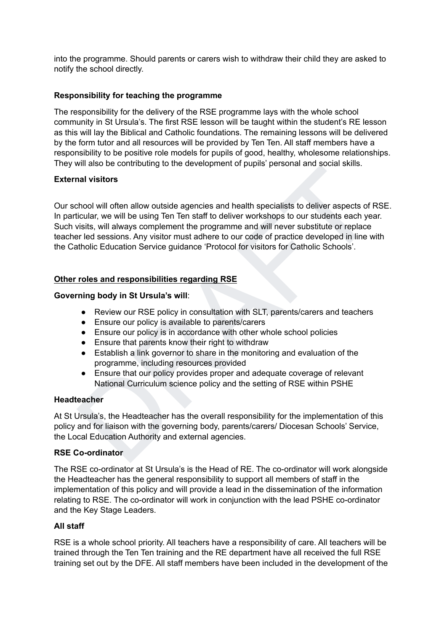into the programme. Should parents or carers wish to withdraw their child they are asked to notify the school directly.

### **Responsibility for teaching the programme**

The responsibility for the delivery of the RSE programme lays with the whole school community in St Ursula's. The first RSE lesson will be taught within the student's RE lesson as this will lay the Biblical and Catholic foundations. The remaining lessons will be delivered by the form tutor and all resources will be provided by Ten Ten. All staff members have a responsibility to be positive role models for pupils of good, healthy, wholesome relationships. They will also be contributing to the development of pupils' personal and social skills.

### **External visitors**

mi also be contributing to the decorption to popilis personial and social shins.<br>
Shood will offer allow outside agencies and health specialists to deliver aspects of RSE.<br>
Circular, we will be using Ten Ten start to deliv Our school will often allow outside agencies and health specialists to deliver aspects of RSE. In particular, we will be using Ten Ten staff to deliver workshops to our students each year. Such visits, will always complement the programme and will never substitute or replace teacher led sessions. Any visitor must adhere to our code of practice developed in line with the Catholic Education Service guidance 'Protocol for visitors for Catholic Schools'.

### **Other roles and responsibilities regarding RSE**

### **Governing body in St Ursula's will**:

- Review our RSE policy in consultation with SLT, parents/carers and teachers
- Ensure our policy is available to parents/carers
- Ensure our policy is in accordance with other whole school policies
- Ensure that parents know their right to withdraw
- Establish a link governor to share in the monitoring and evaluation of the programme, including resources provided
- Ensure that our policy provides proper and adequate coverage of relevant National Curriculum science policy and the setting of RSE within PSHE

### **Headteacher**

At St Ursula's, the Headteacher has the overall responsibility for the implementation of this policy and for liaison with the governing body, parents/carers/ Diocesan Schools' Service, the Local Education Authority and external agencies.

### **RSE Co-ordinator**

The RSE co-ordinator at St Ursula's is the Head of RE. The co-ordinator will work alongside the Headteacher has the general responsibility to support all members of staff in the implementation of this policy and will provide a lead in the dissemination of the information relating to RSE. The co-ordinator will work in conjunction with the lead PSHE co-ordinator and the Key Stage Leaders.

### **All staff**

RSE is a whole school priority. All teachers have a responsibility of care. All teachers will be trained through the Ten Ten training and the RE department have all received the full RSE training set out by the DFE. All staff members have been included in the development of the